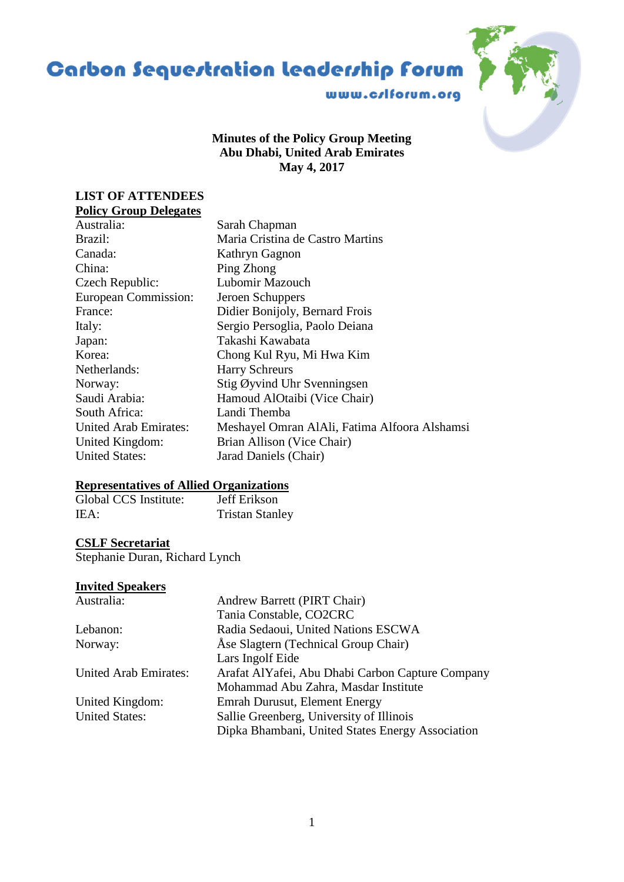# **Carbon Sequestration leadership forum**



## **Minutes of the Policy Group Meeting Abu Dhabi, United Arab Emirates May 4, 2017**

## **LIST OF ATTENDEES Policy Group Delegates**

| Sarah Chapman                                 |
|-----------------------------------------------|
| Maria Cristina de Castro Martins              |
| Kathryn Gagnon                                |
| Ping Zhong                                    |
| Lubomir Mazouch                               |
| Jeroen Schuppers                              |
| Didier Bonijoly, Bernard Frois                |
| Sergio Persoglia, Paolo Deiana                |
| Takashi Kawabata                              |
| Chong Kul Ryu, Mi Hwa Kim                     |
| <b>Harry Schreurs</b>                         |
| Stig Øyvind Uhr Svenningsen                   |
| Hamoud AlOtaibi (Vice Chair)                  |
| Landi Themba                                  |
| Meshayel Omran AlAli, Fatima Alfoora Alshamsi |
| Brian Allison (Vice Chair)                    |
| Jarad Daniels (Chair)                         |
|                                               |

## **Representatives of Allied Organizations**

| Global CCS Institute: | Jeff Erikson           |
|-----------------------|------------------------|
| IEA:                  | <b>Tristan Stanley</b> |

# **CSLF Secretariat**

Stephanie Duran, Richard Lynch

## **Invited Speakers**

| Australia:                   | Andrew Barrett (PIRT Chair)                      |
|------------------------------|--------------------------------------------------|
|                              | Tania Constable, CO2CRC                          |
| Lebanon:                     | Radia Sedaoui, United Nations ESCWA              |
| Norway:                      | Åse Slagtern (Technical Group Chair)             |
|                              | Lars Ingolf Eide                                 |
| <b>United Arab Emirates:</b> | Arafat AlYafei, Abu Dhabi Carbon Capture Company |
|                              | Mohammad Abu Zahra, Masdar Institute             |
| United Kingdom:              | Emrah Durusut, Element Energy                    |
| <b>United States:</b>        | Sallie Greenberg, University of Illinois         |
|                              | Dipka Bhambani, United States Energy Association |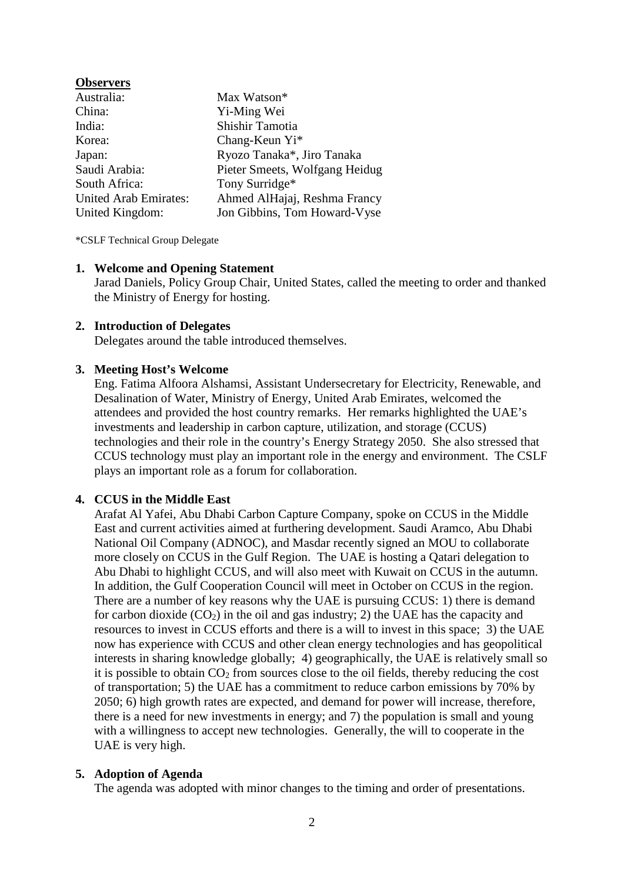| <b>Observers</b>             |                                |
|------------------------------|--------------------------------|
| Australia:                   | Max Watson*                    |
| China:                       | Yi-Ming Wei                    |
| India:                       | Shishir Tamotia                |
| Korea:                       | Chang-Keun Yi*                 |
| Japan:                       | Ryozo Tanaka*, Jiro Tanaka     |
| Saudi Arabia:                | Pieter Smeets, Wolfgang Heidug |
| South Africa:                | Tony Surridge*                 |
| <b>United Arab Emirates:</b> | Ahmed AlHajaj, Reshma Francy   |
| United Kingdom:              | Jon Gibbins, Tom Howard-Vyse   |

\*CSLF Technical Group Delegate

#### **1. Welcome and Opening Statement**

Jarad Daniels, Policy Group Chair, United States, called the meeting to order and thanked the Ministry of Energy for hosting.

#### **2. Introduction of Delegates**

Delegates around the table introduced themselves.

#### **3. Meeting Host's Welcome**

Eng. Fatima Alfoora Alshamsi, Assistant Undersecretary for Electricity, Renewable, and Desalination of Water, Ministry of Energy, United Arab Emirates, welcomed the attendees and provided the host country remarks. Her remarks highlighted the UAE's investments and leadership in carbon capture, utilization, and storage (CCUS) technologies and their role in the country's Energy Strategy 2050. She also stressed that CCUS technology must play an important role in the energy and environment. The CSLF plays an important role as a forum for collaboration.

## **4. CCUS in the Middle East**

Arafat Al Yafei, Abu Dhabi Carbon Capture Company, spoke on CCUS in the Middle East and current activities aimed at furthering development. Saudi Aramco, Abu Dhabi National Oil Company (ADNOC), and Masdar recently signed an MOU to collaborate more closely on CCUS in the Gulf Region. The UAE is hosting a Qatari delegation to Abu Dhabi to highlight CCUS, and will also meet with Kuwait on CCUS in the autumn. In addition, the Gulf Cooperation Council will meet in October on CCUS in the region. There are a number of key reasons why the UAE is pursuing CCUS: 1) there is demand for carbon dioxide  $(CO_2)$  in the oil and gas industry; 2) the UAE has the capacity and resources to invest in CCUS efforts and there is a will to invest in this space; 3) the UAE now has experience with CCUS and other clean energy technologies and has geopolitical interests in sharing knowledge globally; 4) geographically, the UAE is relatively small so it is possible to obtain  $CO<sub>2</sub>$  from sources close to the oil fields, thereby reducing the cost of transportation; 5) the UAE has a commitment to reduce carbon emissions by 70% by 2050; 6) high growth rates are expected, and demand for power will increase, therefore, there is a need for new investments in energy; and 7) the population is small and young with a willingness to accept new technologies. Generally, the will to cooperate in the UAE is very high.

### **5. Adoption of Agenda**

The agenda was adopted with minor changes to the timing and order of presentations.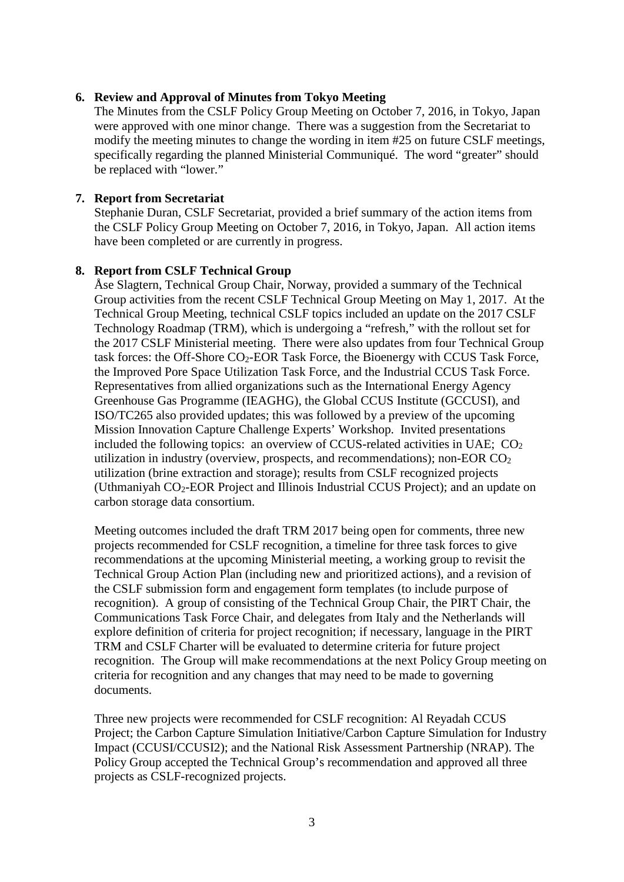## **6. Review and Approval of Minutes from Tokyo Meeting**

The Minutes from the CSLF Policy Group Meeting on October 7, 2016, in Tokyo, Japan were approved with one minor change. There was a suggestion from the Secretariat to modify the meeting minutes to change the wording in item #25 on future CSLF meetings, specifically regarding the planned Ministerial Communiqué. The word "greater" should be replaced with "lower."

## **7. Report from Secretariat**

Stephanie Duran, CSLF Secretariat, provided a brief summary of the action items from the CSLF Policy Group Meeting on October 7, 2016, in Tokyo, Japan. All action items have been completed or are currently in progress.

## **8. Report from CSLF Technical Group**

Åse Slagtern, Technical Group Chair, Norway, provided a summary of the Technical Group activities from the recent CSLF Technical Group Meeting on May 1, 2017. At the Technical Group Meeting, technical CSLF topics included an update on the 2017 CSLF Technology Roadmap (TRM), which is undergoing a "refresh," with the rollout set for the 2017 CSLF Ministerial meeting. There were also updates from four Technical Group task forces: the Off-Shore CO2-EOR Task Force, the Bioenergy with CCUS Task Force, the Improved Pore Space Utilization Task Force, and the Industrial CCUS Task Force. Representatives from allied organizations such as the International Energy Agency Greenhouse Gas Programme (IEAGHG), the Global CCUS Institute (GCCUSI), and ISO/TC265 also provided updates; this was followed by a preview of the upcoming Mission Innovation Capture Challenge Experts' Workshop. Invited presentations included the following topics: an overview of CCUS-related activities in UAE;  $CO<sub>2</sub>$ utilization in industry (overview, prospects, and recommendations); non-EOR  $CO<sub>2</sub>$ utilization (brine extraction and storage); results from CSLF recognized projects (Uthmaniyah CO2-EOR Project and Illinois Industrial CCUS Project); and an update on carbon storage data consortium.

Meeting outcomes included the draft TRM 2017 being open for comments, three new projects recommended for CSLF recognition, a timeline for three task forces to give recommendations at the upcoming Ministerial meeting, a working group to revisit the Technical Group Action Plan (including new and prioritized actions), and a revision of the CSLF submission form and engagement form templates (to include purpose of recognition). A group of consisting of the Technical Group Chair, the PIRT Chair, the Communications Task Force Chair, and delegates from Italy and the Netherlands will explore definition of criteria for project recognition; if necessary, language in the PIRT TRM and CSLF Charter will be evaluated to determine criteria for future project recognition. The Group will make recommendations at the next Policy Group meeting on criteria for recognition and any changes that may need to be made to governing documents.

Three new projects were recommended for CSLF recognition: Al Reyadah CCUS Project; the Carbon Capture Simulation Initiative/Carbon Capture Simulation for Industry Impact (CCUSI/CCUSI2); and the National Risk Assessment Partnership (NRAP). The Policy Group accepted the Technical Group's recommendation and approved all three projects as CSLF-recognized projects.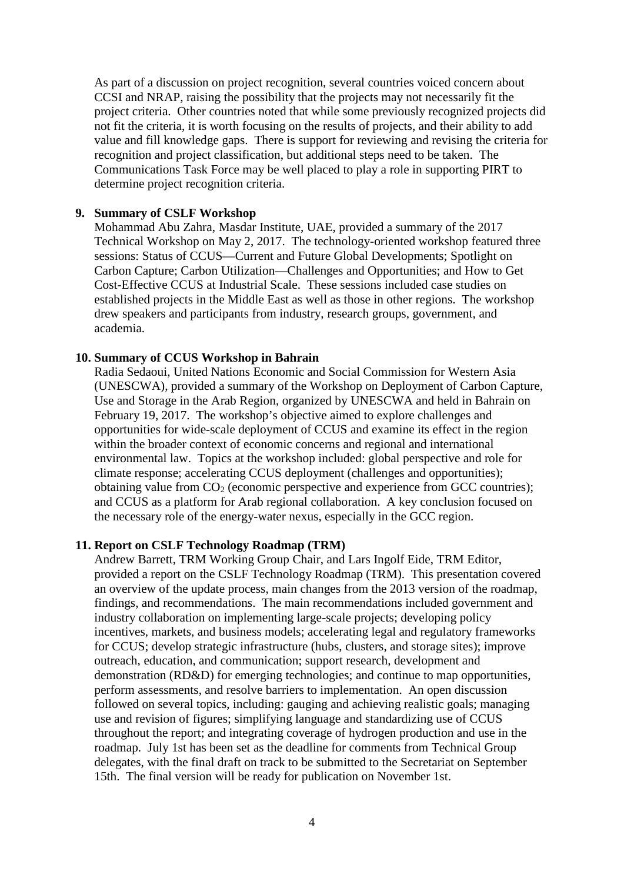As part of a discussion on project recognition, several countries voiced concern about CCSI and NRAP, raising the possibility that the projects may not necessarily fit the project criteria. Other countries noted that while some previously recognized projects did not fit the criteria, it is worth focusing on the results of projects, and their ability to add value and fill knowledge gaps. There is support for reviewing and revising the criteria for recognition and project classification, but additional steps need to be taken. The Communications Task Force may be well placed to play a role in supporting PIRT to determine project recognition criteria.

#### **9. Summary of CSLF Workshop**

Mohammad Abu Zahra, Masdar Institute, UAE, provided a summary of the 2017 Technical Workshop on May 2, 2017. The technology-oriented workshop featured three sessions: Status of CCUS—Current and Future Global Developments; Spotlight on Carbon Capture; Carbon Utilization—Challenges and Opportunities; and How to Get Cost-Effective CCUS at Industrial Scale. These sessions included case studies on established projects in the Middle East as well as those in other regions. The workshop drew speakers and participants from industry, research groups, government, and academia.

#### **10. Summary of CCUS Workshop in Bahrain**

Radia Sedaoui, United Nations Economic and Social Commission for Western Asia (UNESCWA), provided a summary of the Workshop on Deployment of Carbon Capture, Use and Storage in the Arab Region, organized by UNESCWA and held in Bahrain on February 19, 2017. The workshop's objective aimed to explore challenges and opportunities for wide-scale deployment of CCUS and examine its effect in the region within the broader context of economic concerns and regional and international environmental law. Topics at the workshop included: global perspective and role for climate response; accelerating CCUS deployment (challenges and opportunities); obtaining value from  $CO<sub>2</sub>$  (economic perspective and experience from GCC countries); and CCUS as a platform for Arab regional collaboration. A key conclusion focused on the necessary role of the energy-water nexus, especially in the GCC region.

#### **11. Report on CSLF Technology Roadmap (TRM)**

Andrew Barrett, TRM Working Group Chair, and Lars Ingolf Eide, TRM Editor, provided a report on the CSLF Technology Roadmap (TRM). This presentation covered an overview of the update process, main changes from the 2013 version of the roadmap, findings, and recommendations. The main recommendations included government and industry collaboration on implementing large-scale projects; developing policy incentives, markets, and business models; accelerating legal and regulatory frameworks for CCUS; develop strategic infrastructure (hubs, clusters, and storage sites); improve outreach, education, and communication; support research, development and demonstration (RD&D) for emerging technologies; and continue to map opportunities, perform assessments, and resolve barriers to implementation. An open discussion followed on several topics, including: gauging and achieving realistic goals; managing use and revision of figures; simplifying language and standardizing use of CCUS throughout the report; and integrating coverage of hydrogen production and use in the roadmap. July 1st has been set as the deadline for comments from Technical Group delegates, with the final draft on track to be submitted to the Secretariat on September 15th. The final version will be ready for publication on November 1st.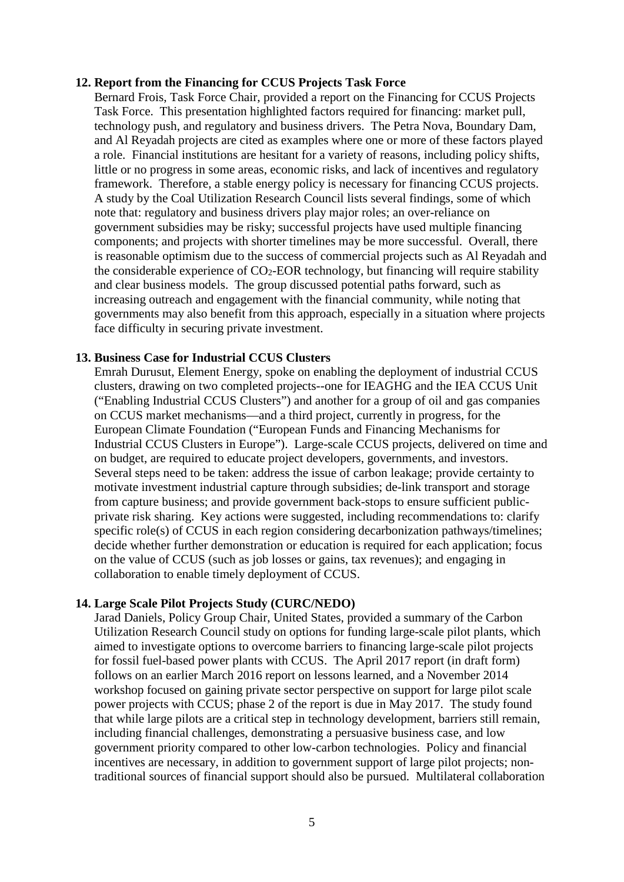#### **12. Report from the Financing for CCUS Projects Task Force**

Bernard Frois, Task Force Chair, provided a report on the Financing for CCUS Projects Task Force. This presentation highlighted factors required for financing: market pull, technology push, and regulatory and business drivers. The Petra Nova, Boundary Dam, and Al Reyadah projects are cited as examples where one or more of these factors played a role. Financial institutions are hesitant for a variety of reasons, including policy shifts, little or no progress in some areas, economic risks, and lack of incentives and regulatory framework. Therefore, a stable energy policy is necessary for financing CCUS projects. A study by the Coal Utilization Research Council lists several findings, some of which note that: regulatory and business drivers play major roles; an over-reliance on government subsidies may be risky; successful projects have used multiple financing components; and projects with shorter timelines may be more successful. Overall, there is reasonable optimism due to the success of commercial projects such as Al Reyadah and the considerable experience of  $CO<sub>2</sub>$ -EOR technology, but financing will require stability and clear business models. The group discussed potential paths forward, such as increasing outreach and engagement with the financial community, while noting that governments may also benefit from this approach, especially in a situation where projects face difficulty in securing private investment.

#### **13. Business Case for Industrial CCUS Clusters**

Emrah Durusut, Element Energy, spoke on enabling the deployment of industrial CCUS clusters, drawing on two completed projects--one for IEAGHG and the IEA CCUS Unit ("Enabling Industrial CCUS Clusters") and another for a group of oil and gas companies on CCUS market mechanisms—and a third project, currently in progress, for the European Climate Foundation ("European Funds and Financing Mechanisms for Industrial CCUS Clusters in Europe"). Large-scale CCUS projects, delivered on time and on budget, are required to educate project developers, governments, and investors. Several steps need to be taken: address the issue of carbon leakage; provide certainty to motivate investment industrial capture through subsidies; de-link transport and storage from capture business; and provide government back-stops to ensure sufficient publicprivate risk sharing. Key actions were suggested, including recommendations to: clarify specific role(s) of CCUS in each region considering decarbonization pathways/timelines; decide whether further demonstration or education is required for each application; focus on the value of CCUS (such as job losses or gains, tax revenues); and engaging in collaboration to enable timely deployment of CCUS.

#### **14. Large Scale Pilot Projects Study (CURC/NEDO)**

Jarad Daniels, Policy Group Chair, United States, provided a summary of the Carbon Utilization Research Council study on options for funding large-scale pilot plants, which aimed to investigate options to overcome barriers to financing large-scale pilot projects for fossil fuel-based power plants with CCUS. The April 2017 report (in draft form) follows on an earlier March 2016 report on lessons learned, and a November 2014 workshop focused on gaining private sector perspective on support for large pilot scale power projects with CCUS; phase 2 of the report is due in May 2017. The study found that while large pilots are a critical step in technology development, barriers still remain, including financial challenges, demonstrating a persuasive business case, and low government priority compared to other low-carbon technologies. Policy and financial incentives are necessary, in addition to government support of large pilot projects; nontraditional sources of financial support should also be pursued. Multilateral collaboration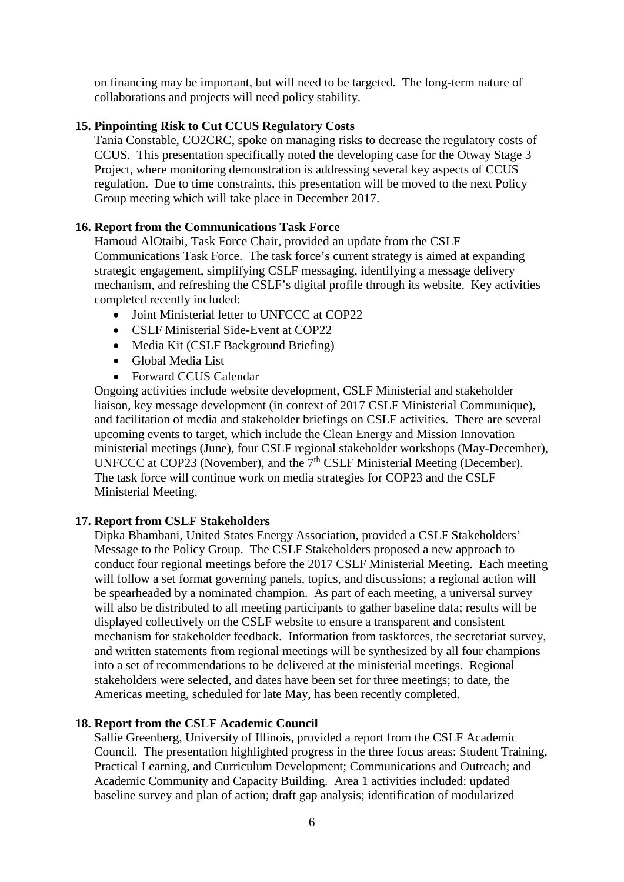on financing may be important, but will need to be targeted. The long-term nature of collaborations and projects will need policy stability.

## **15. Pinpointing Risk to Cut CCUS Regulatory Costs**

Tania Constable, CO2CRC, spoke on managing risks to decrease the regulatory costs of CCUS. This presentation specifically noted the developing case for the Otway Stage 3 Project, where monitoring demonstration is addressing several key aspects of CCUS regulation. Due to time constraints, this presentation will be moved to the next Policy Group meeting which will take place in December 2017.

## **16. Report from the Communications Task Force**

Hamoud AlOtaibi, Task Force Chair, provided an update from the CSLF Communications Task Force. The task force's current strategy is aimed at expanding strategic engagement, simplifying CSLF messaging, identifying a message delivery mechanism, and refreshing the CSLF's digital profile through its website. Key activities completed recently included:

- Joint Ministerial letter to UNFCCC at COP22
- CSLF Ministerial Side-Event at COP22
- Media Kit (CSLF Background Briefing)
- Global Media List
- Forward CCUS Calendar

Ongoing activities include website development, CSLF Ministerial and stakeholder liaison, key message development (in context of 2017 CSLF Ministerial Communique), and facilitation of media and stakeholder briefings on CSLF activities. There are several upcoming events to target, which include the Clean Energy and Mission Innovation ministerial meetings (June), four CSLF regional stakeholder workshops (May-December), UNFCCC at COP23 (November), and the 7<sup>th</sup> CSLF Ministerial Meeting (December). The task force will continue work on media strategies for COP23 and the CSLF Ministerial Meeting.

#### **17. Report from CSLF Stakeholders**

Dipka Bhambani, United States Energy Association, provided a CSLF Stakeholders' Message to the Policy Group. The CSLF Stakeholders proposed a new approach to conduct four regional meetings before the 2017 CSLF Ministerial Meeting. Each meeting will follow a set format governing panels, topics, and discussions; a regional action will be spearheaded by a nominated champion. As part of each meeting, a universal survey will also be distributed to all meeting participants to gather baseline data; results will be displayed collectively on the CSLF website to ensure a transparent and consistent mechanism for stakeholder feedback. Information from taskforces, the secretariat survey, and written statements from regional meetings will be synthesized by all four champions into a set of recommendations to be delivered at the ministerial meetings. Regional stakeholders were selected, and dates have been set for three meetings; to date, the Americas meeting, scheduled for late May, has been recently completed.

#### **18. Report from the CSLF Academic Council**

Sallie Greenberg, University of Illinois, provided a report from the CSLF Academic Council. The presentation highlighted progress in the three focus areas: Student Training, Practical Learning, and Curriculum Development; Communications and Outreach; and Academic Community and Capacity Building. Area 1 activities included: updated baseline survey and plan of action; draft gap analysis; identification of modularized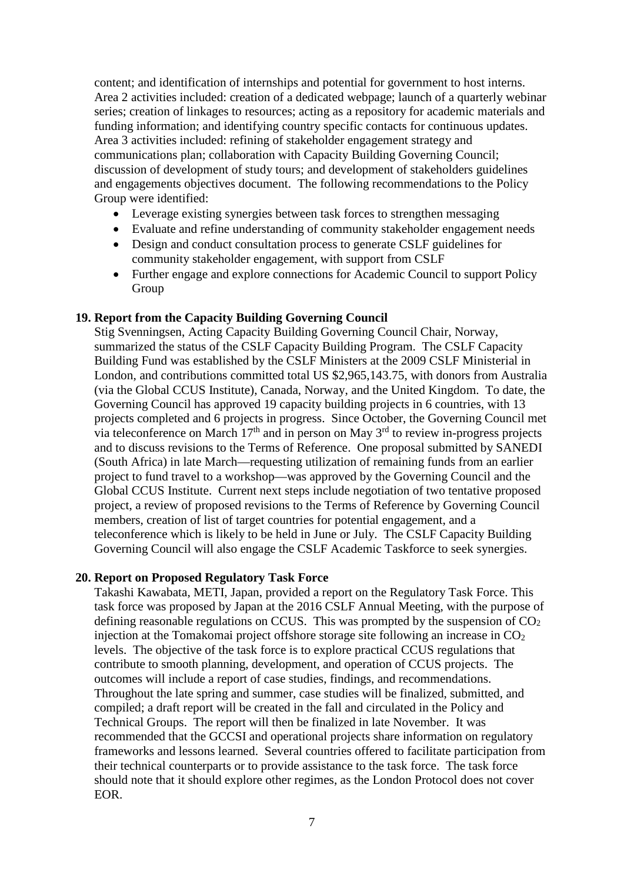content; and identification of internships and potential for government to host interns. Area 2 activities included: creation of a dedicated webpage; launch of a quarterly webinar series; creation of linkages to resources; acting as a repository for academic materials and funding information; and identifying country specific contacts for continuous updates. Area 3 activities included: refining of stakeholder engagement strategy and communications plan; collaboration with Capacity Building Governing Council; discussion of development of study tours; and development of stakeholders guidelines and engagements objectives document. The following recommendations to the Policy Group were identified:

- Leverage existing synergies between task forces to strengthen messaging
- Evaluate and refine understanding of community stakeholder engagement needs
- Design and conduct consultation process to generate CSLF guidelines for community stakeholder engagement, with support from CSLF
- Further engage and explore connections for Academic Council to support Policy Group

#### **19. Report from the Capacity Building Governing Council**

Stig Svenningsen, Acting Capacity Building Governing Council Chair, Norway, summarized the status of the CSLF Capacity Building Program. The CSLF Capacity Building Fund was established by the CSLF Ministers at the 2009 CSLF Ministerial in London, and contributions committed total US \$2,965,143.75, with donors from Australia (via the Global CCUS Institute), Canada, Norway, and the United Kingdom. To date, the Governing Council has approved 19 capacity building projects in 6 countries, with 13 projects completed and 6 projects in progress. Since October, the Governing Council met via teleconference on March  $17<sup>th</sup>$  and in person on May  $3<sup>rd</sup>$  to review in-progress projects and to discuss revisions to the Terms of Reference. One proposal submitted by SANEDI (South Africa) in late March—requesting utilization of remaining funds from an earlier project to fund travel to a workshop—was approved by the Governing Council and the Global CCUS Institute. Current next steps include negotiation of two tentative proposed project, a review of proposed revisions to the Terms of Reference by Governing Council members, creation of list of target countries for potential engagement, and a teleconference which is likely to be held in June or July. The CSLF Capacity Building Governing Council will also engage the CSLF Academic Taskforce to seek synergies.

#### **20. Report on Proposed Regulatory Task Force**

Takashi Kawabata, METI, Japan, provided a report on the Regulatory Task Force. This task force was proposed by Japan at the 2016 CSLF Annual Meeting, with the purpose of defining reasonable regulations on CCUS. This was prompted by the suspension of  $CO<sub>2</sub>$ injection at the Tomakomai project offshore storage site following an increase in  $CO<sub>2</sub>$ levels. The objective of the task force is to explore practical CCUS regulations that contribute to smooth planning, development, and operation of CCUS projects. The outcomes will include a report of case studies, findings, and recommendations. Throughout the late spring and summer, case studies will be finalized, submitted, and compiled; a draft report will be created in the fall and circulated in the Policy and Technical Groups. The report will then be finalized in late November. It was recommended that the GCCSI and operational projects share information on regulatory frameworks and lessons learned. Several countries offered to facilitate participation from their technical counterparts or to provide assistance to the task force. The task force should note that it should explore other regimes, as the London Protocol does not cover EOR.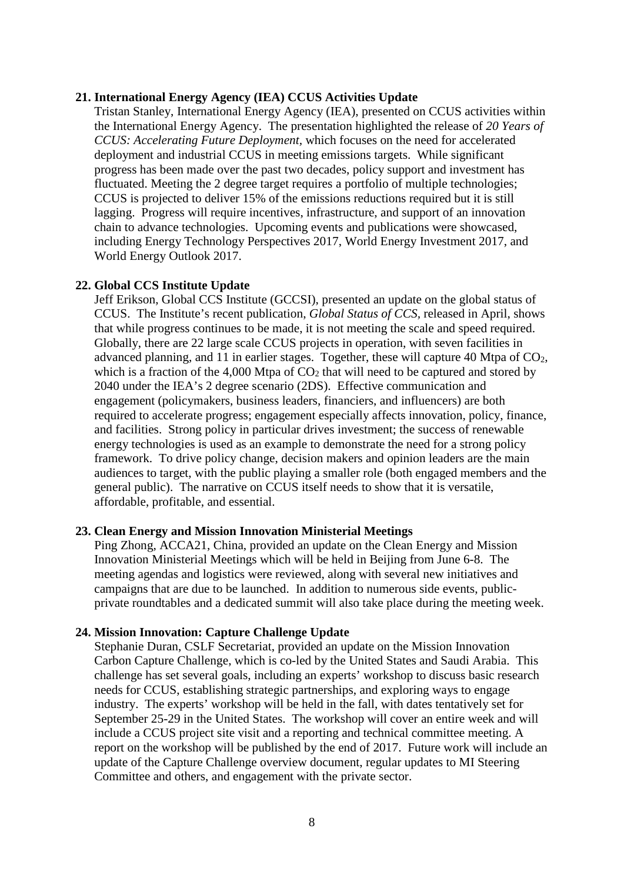#### **21. International Energy Agency (IEA) CCUS Activities Update**

Tristan Stanley, International Energy Agency (IEA), presented on CCUS activities within the International Energy Agency. The presentation highlighted the release of *20 Years of CCUS: Accelerating Future Deployment,* which focuses on the need for accelerated deployment and industrial CCUS in meeting emissions targets. While significant progress has been made over the past two decades, policy support and investment has fluctuated. Meeting the 2 degree target requires a portfolio of multiple technologies; CCUS is projected to deliver 15% of the emissions reductions required but it is still lagging. Progress will require incentives, infrastructure, and support of an innovation chain to advance technologies. Upcoming events and publications were showcased, including Energy Technology Perspectives 2017, World Energy Investment 2017, and World Energy Outlook 2017.

#### **22. Global CCS Institute Update**

Jeff Erikson, Global CCS Institute (GCCSI), presented an update on the global status of CCUS. The Institute's recent publication, *Global Status of CCS,* released in April, shows that while progress continues to be made, it is not meeting the scale and speed required. Globally, there are 22 large scale CCUS projects in operation, with seven facilities in advanced planning, and 11 in earlier stages. Together, these will capture 40 Mtpa of CO2, which is a fraction of the 4,000 Mtpa of  $CO<sub>2</sub>$  that will need to be captured and stored by 2040 under the IEA's 2 degree scenario (2DS). Effective communication and engagement (policymakers, business leaders, financiers, and influencers) are both required to accelerate progress; engagement especially affects innovation, policy, finance, and facilities. Strong policy in particular drives investment; the success of renewable energy technologies is used as an example to demonstrate the need for a strong policy framework. To drive policy change, decision makers and opinion leaders are the main audiences to target, with the public playing a smaller role (both engaged members and the general public). The narrative on CCUS itself needs to show that it is versatile, affordable, profitable, and essential.

#### **23. Clean Energy and Mission Innovation Ministerial Meetings**

Ping Zhong, ACCA21, China, provided an update on the Clean Energy and Mission Innovation Ministerial Meetings which will be held in Beijing from June 6-8. The meeting agendas and logistics were reviewed, along with several new initiatives and campaigns that are due to be launched. In addition to numerous side events, publicprivate roundtables and a dedicated summit will also take place during the meeting week.

#### **24. Mission Innovation: Capture Challenge Update**

Stephanie Duran, CSLF Secretariat, provided an update on the Mission Innovation Carbon Capture Challenge, which is co-led by the United States and Saudi Arabia. This challenge has set several goals, including an experts' workshop to discuss basic research needs for CCUS, establishing strategic partnerships, and exploring ways to engage industry. The experts' workshop will be held in the fall, with dates tentatively set for September 25-29 in the United States. The workshop will cover an entire week and will include a CCUS project site visit and a reporting and technical committee meeting. A report on the workshop will be published by the end of 2017. Future work will include an update of the Capture Challenge overview document, regular updates to MI Steering Committee and others, and engagement with the private sector.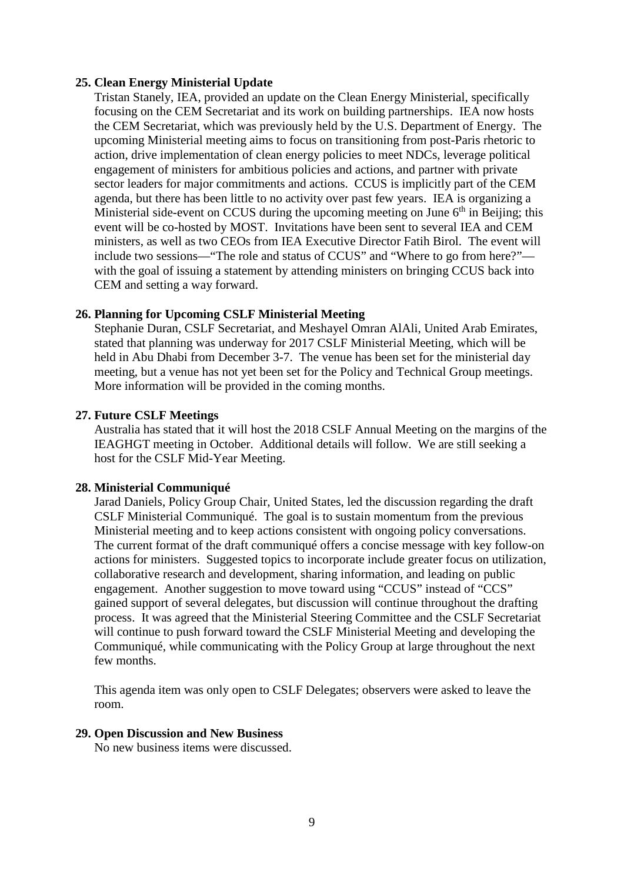### **25. Clean Energy Ministerial Update**

Tristan Stanely, IEA, provided an update on the Clean Energy Ministerial, specifically focusing on the CEM Secretariat and its work on building partnerships. IEA now hosts the CEM Secretariat, which was previously held by the U.S. Department of Energy. The upcoming Ministerial meeting aims to focus on transitioning from post-Paris rhetoric to action, drive implementation of clean energy policies to meet NDCs, leverage political engagement of ministers for ambitious policies and actions, and partner with private sector leaders for major commitments and actions. CCUS is implicitly part of the CEM agenda, but there has been little to no activity over past few years. IEA is organizing a Ministerial side-event on CCUS during the upcoming meeting on June  $6<sup>th</sup>$  in Beijing; this event will be co-hosted by MOST. Invitations have been sent to several IEA and CEM ministers, as well as two CEOs from IEA Executive Director Fatih Birol. The event will include two sessions—"The role and status of CCUS" and "Where to go from here?" with the goal of issuing a statement by attending ministers on bringing CCUS back into CEM and setting a way forward.

## **26. Planning for Upcoming CSLF Ministerial Meeting**

Stephanie Duran, CSLF Secretariat, and Meshayel Omran AlAli, United Arab Emirates, stated that planning was underway for 2017 CSLF Ministerial Meeting, which will be held in Abu Dhabi from December 3-7. The venue has been set for the ministerial day meeting, but a venue has not yet been set for the Policy and Technical Group meetings. More information will be provided in the coming months.

#### **27. Future CSLF Meetings**

Australia has stated that it will host the 2018 CSLF Annual Meeting on the margins of the IEAGHGT meeting in October. Additional details will follow. We are still seeking a host for the CSLF Mid-Year Meeting.

#### **28. Ministerial Communiqué**

Jarad Daniels, Policy Group Chair, United States, led the discussion regarding the draft CSLF Ministerial Communiqué. The goal is to sustain momentum from the previous Ministerial meeting and to keep actions consistent with ongoing policy conversations. The current format of the draft communiqué offers a concise message with key follow-on actions for ministers. Suggested topics to incorporate include greater focus on utilization, collaborative research and development, sharing information, and leading on public engagement. Another suggestion to move toward using "CCUS" instead of "CCS" gained support of several delegates, but discussion will continue throughout the drafting process. It was agreed that the Ministerial Steering Committee and the CSLF Secretariat will continue to push forward toward the CSLF Ministerial Meeting and developing the Communiqué, while communicating with the Policy Group at large throughout the next few months.

This agenda item was only open to CSLF Delegates; observers were asked to leave the room.

#### **29. Open Discussion and New Business**

No new business items were discussed.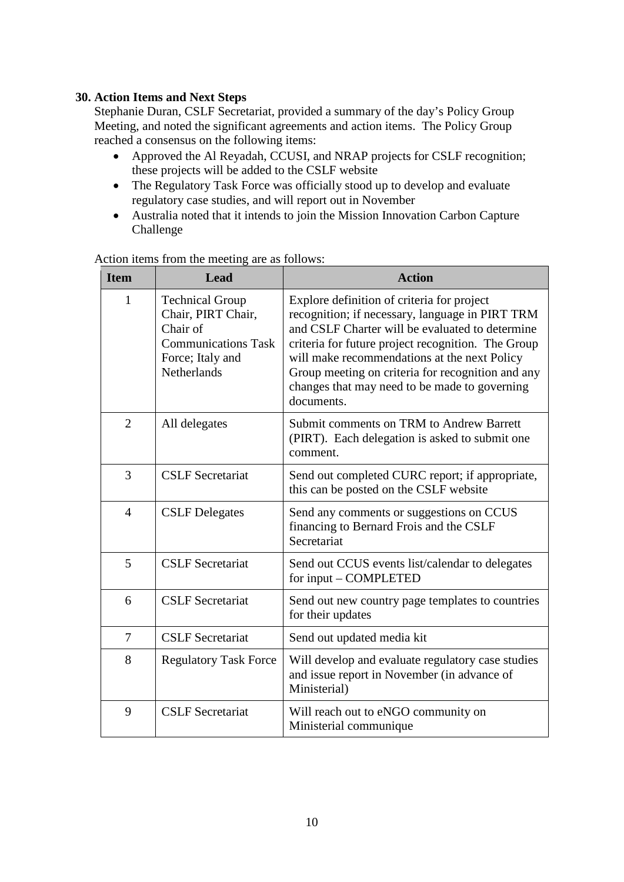## **30. Action Items and Next Steps**

Stephanie Duran, CSLF Secretariat, provided a summary of the day's Policy Group Meeting, and noted the significant agreements and action items. The Policy Group reached a consensus on the following items:

- Approved the Al Reyadah, CCUSI, and NRAP projects for CSLF recognition; these projects will be added to the CSLF website
- The Regulatory Task Force was officially stood up to develop and evaluate regulatory case studies, and will report out in November
- Australia noted that it intends to join the Mission Innovation Carbon Capture Challenge

| <b>Item</b>    | Lead                                                                                                                             | <b>Action</b>                                                                                                                                                                                                                                                                                                                                                              |
|----------------|----------------------------------------------------------------------------------------------------------------------------------|----------------------------------------------------------------------------------------------------------------------------------------------------------------------------------------------------------------------------------------------------------------------------------------------------------------------------------------------------------------------------|
| $\mathbf{1}$   | <b>Technical Group</b><br>Chair, PIRT Chair,<br>Chair of<br><b>Communications Task</b><br>Force; Italy and<br><b>Netherlands</b> | Explore definition of criteria for project<br>recognition; if necessary, language in PIRT TRM<br>and CSLF Charter will be evaluated to determine<br>criteria for future project recognition. The Group<br>will make recommendations at the next Policy<br>Group meeting on criteria for recognition and any<br>changes that may need to be made to governing<br>documents. |
| $\overline{2}$ | All delegates                                                                                                                    | Submit comments on TRM to Andrew Barrett<br>(PIRT). Each delegation is asked to submit one<br>comment.                                                                                                                                                                                                                                                                     |
| 3              | <b>CSLF</b> Secretariat                                                                                                          | Send out completed CURC report; if appropriate,<br>this can be posted on the CSLF website                                                                                                                                                                                                                                                                                  |
| $\overline{4}$ | <b>CSLF</b> Delegates                                                                                                            | Send any comments or suggestions on CCUS<br>financing to Bernard Frois and the CSLF<br>Secretariat                                                                                                                                                                                                                                                                         |
| 5              | <b>CSLF</b> Secretariat                                                                                                          | Send out CCUS events list/calendar to delegates<br>for input – COMPLETED                                                                                                                                                                                                                                                                                                   |
| 6              | <b>CSLF</b> Secretariat                                                                                                          | Send out new country page templates to countries<br>for their updates                                                                                                                                                                                                                                                                                                      |
| $\overline{7}$ | <b>CSLF</b> Secretariat                                                                                                          | Send out updated media kit                                                                                                                                                                                                                                                                                                                                                 |
| 8              | <b>Regulatory Task Force</b>                                                                                                     | Will develop and evaluate regulatory case studies<br>and issue report in November (in advance of<br>Ministerial)                                                                                                                                                                                                                                                           |
| 9              | <b>CSLF</b> Secretariat                                                                                                          | Will reach out to eNGO community on<br>Ministerial communique                                                                                                                                                                                                                                                                                                              |

Action items from the meeting are as follows: